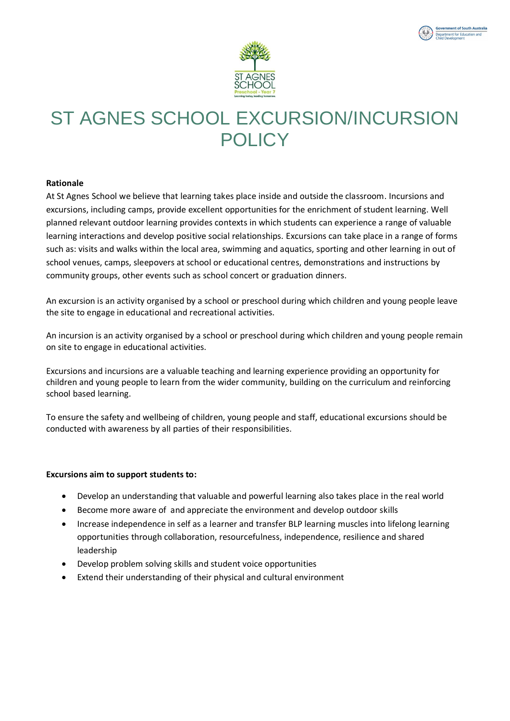

**Int of South Australia** Department for Education and<br>Child Development



### **Rationale**

At St Agnes School we believe that learning takes place inside and outside the classroom. Incursions and excursions, including camps, provide excellent opportunities for the enrichment of student learning. Well planned relevant outdoor learning provides contexts in which students can experience a range of valuable learning interactions and develop positive social relationships. Excursions can take place in a range of forms such as: visits and walks within the local area, swimming and aquatics, sporting and other learning in out of school venues, camps, sleepovers at school or educational centres, demonstrations and instructions by community groups, other events such as school concert or graduation dinners.

An excursion is an activity organised by a school or preschool during which children and young people leave the site to engage in educational and recreational activities.

An incursion is an activity organised by a school or preschool during which children and young people remain on site to engage in educational activities.

Excursions and incursions are a valuable teaching and learning experience providing an opportunity for children and young people to learn from the wider community, building on the curriculum and reinforcing school based learning.

To ensure the safety and wellbeing of children, young people and staff, educational excursions should be conducted with awareness by all parties of their responsibilities.

#### **Excursions aim to support students to:**

- Develop an understanding that valuable and powerful learning also takes place in the real world
- Become more aware of and appreciate the environment and develop outdoor skills
- Increase independence in self as a learner and transfer BLP learning muscles into lifelong learning opportunities through collaboration, resourcefulness, independence, resilience and shared leadership
- Develop problem solving skills and student voice opportunities
- Extend their understanding of their physical and cultural environment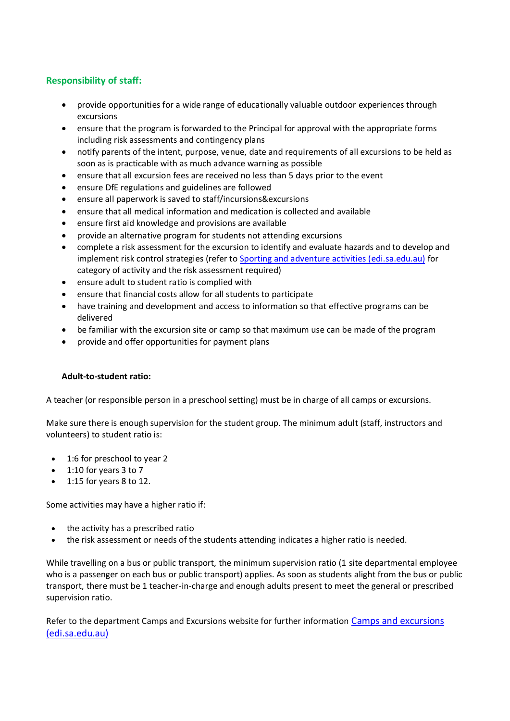## **Responsibility of staff:**

- provide opportunities for a wide range of educationally valuable outdoor experiences through excursions
- ensure that the program is forwarded to the Principal for approval with the appropriate forms including risk assessments and contingency plans
- notify parents of the intent, purpose, venue, date and requirements of all excursions to be held as soon as is practicable with as much advance warning as possible
- ensure that all excursion fees are received no less than 5 days prior to the event
- ensure DfE regulations and guidelines are followed
- ensure all paperwork is saved to staff/incursions&excursions
- ensure that all medical information and medication is collected and available
- ensure first aid knowledge and provisions are available
- provide an alternative program for students not attending excursions
- complete a risk assessment for the excursion to identify and evaluate hazards and to develop and implement risk control strategies (refer to [Sporting and adventure activities \(edi.sa.edu.au\)](https://edi.sa.edu.au/educating/programs-initiatives/sport-programs/sporting-and-adventure-activities#title5) for category of activity and the risk assessment required)
- ensure adult to student ratio is complied with
- ensure that financial costs allow for all students to participate
- have training and development and access to information so that effective programs can be delivered
- be familiar with the excursion site or camp so that maximum use can be made of the program
- provide and offer opportunities for payment plans

### **Adult-to-student ratio:**

A teacher (or responsible person in a preschool setting) must be in charge of all camps or excursions.

Make sure there is enough supervision for the student group. The minimum adult (staff, instructors and volunteers) to student ratio is:

- 1:6 for preschool to year 2
- 1:10 for years 3 to 7
- 1:15 for years 8 to 12.

Some activities may have a higher ratio if:

- the activity has a prescribed ratio
- the risk assessment or needs of the students attending indicates a higher ratio is needed.

While travelling on a bus or public transport, the minimum supervision ratio (1 site departmental employee who is a passenger on each bus or public transport) applies. As soon as students alight from the bus or public transport, there must be 1 teacher-in-charge and enough adults present to meet the general or prescribed supervision ratio.

Refer to the department Camps and Excursions website for further information [Camps and excursions](https://edi.sa.edu.au/hr/for-managers/health-and-safety/creating-a-safe-workplace/camps-and-excursions)  [\(edi.sa.edu.au\)](https://edi.sa.edu.au/hr/for-managers/health-and-safety/creating-a-safe-workplace/camps-and-excursions)